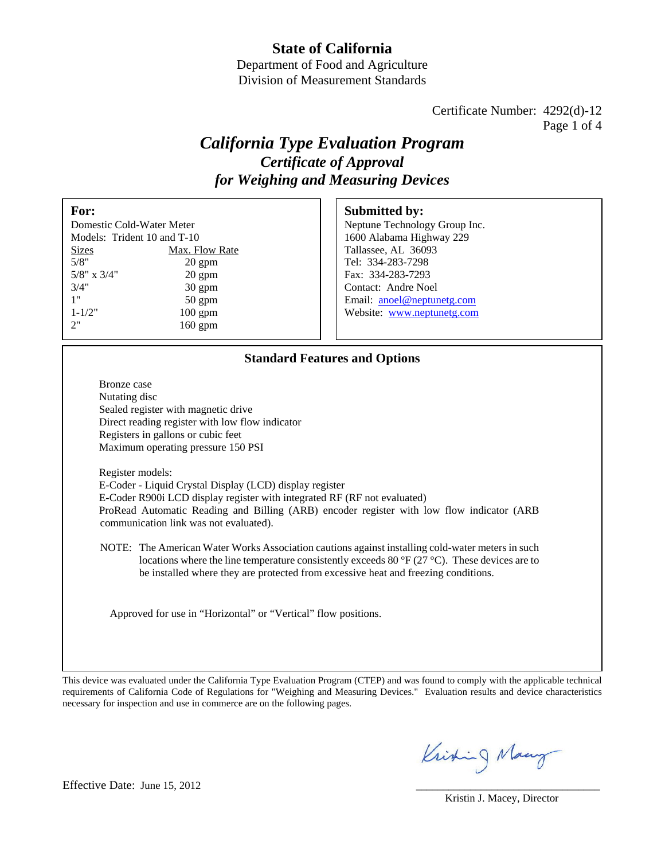## **State of California**

Department of Food and Agriculture Division of Measurement Standards

> Certificate Number: 4292(d)-12 Page 1 of 4

# *California Type Evaluation Program Certificate of Approval for Weighing and Measuring Devices*

| For:                        |                  | <b>Submitted by:</b>          |
|-----------------------------|------------------|-------------------------------|
| Domestic Cold-Water Meter   |                  | Neptune Technology Group Inc. |
| Models: Trident 10 and T-10 |                  | 1600 Alabama Highway 229      |
| <b>Sizes</b>                | Max. Flow Rate   | Tallassee, AL 36093           |
| 5/8"                        | $20 \text{ gpm}$ | Tel: 334-283-7298             |
| $5/8$ " x $3/4$ "           | $20 \text{ gpm}$ | Fax: 334-283-7293             |
| 3/4"                        | $30 \text{ gpm}$ | Contact: Andre Noel           |
| 1"                          | $50 \text{ gpm}$ | Email: anoel@neptunetg.com    |
| $1 - 1/2"$                  | $100$ gpm        | Website: www.neptunetg.com    |
| 2"                          | $160$ gpm        |                               |

### **Standard Features and Options**

Bronze case Nutating disc Sealed register with magnetic drive Direct reading register with low flow indicator Registers in gallons or cubic feet Maximum operating pressure 150 PSI

Register models: E-Coder - Liquid Crystal Display (LCD) display register E-Coder R900i LCD display register with integrated RF (RF not evaluated) ProRead Automatic Reading and Billing (ARB) encoder register with low flow indicator (ARB communication link was not evaluated).

NOTE: The American Water Works Association cautions against installing cold-water meters in such locations where the line temperature consistently exceeds 80  $\rm{^{\circ}F}$  (27  $\rm{^{\circ}C}$ ). These devices are to be installed where they are protected from excessive heat and freezing conditions.

Approved for use in "Horizontal" or "Vertical" flow positions.

This device was evaluated under the California Type Evaluation Program (CTEP) and was found to comply with the applicable technical requirements of California Code of Regulations for "Weighing and Measuring Devices." Evaluation results and device characteristics necessary for inspection and use in commerce are on the following pages.

Kristing Many

#### Effective Date: June 15, 2012

Kristin J. Macey, Director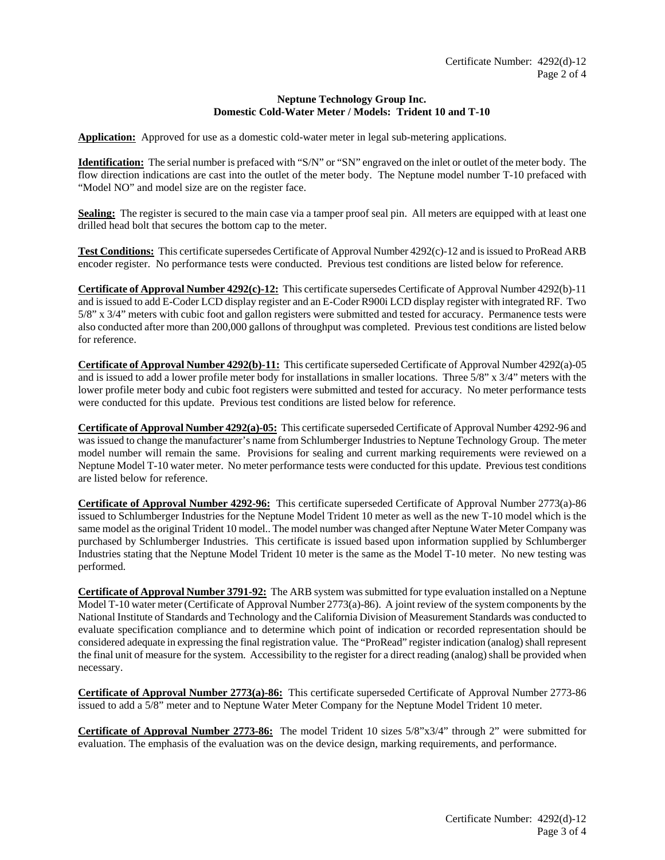#### **Neptune Technology Group Inc. Domestic Cold-Water Meter / Models: Trident 10 and T-10**

**Application:** Approved for use as a domestic cold-water meter in legal sub-metering applications.

**Identification:** The serial number is prefaced with "S/N" or "SN" engraved on the inlet or outlet of the meter body. The flow direction indications are cast into the outlet of the meter body. The Neptune model number T-10 prefaced with "Model NO" and model size are on the register face.

**Sealing:** The register is secured to the main case via a tamper proof seal pin. All meters are equipped with at least one drilled head bolt that secures the bottom cap to the meter.

**Test Conditions:** This certificate supersedes Certificate of Approval Number 4292(c)-12 and is issued to ProRead ARB encoder register. No performance tests were conducted. Previous test conditions are listed below for reference.

**Certificate of Approval Number 4292(c)-12:** This certificate supersedes Certificate of Approval Number 4292(b)-11 and is issued to add E-Coder LCD display register and an E-Coder R900i LCD display register with integrated RF. Two 5/8" x 3/4" meters with cubic foot and gallon registers were submitted and tested for accuracy. Permanence tests were also conducted after more than 200,000 gallons of throughput was completed. Previous test conditions are listed below for reference.

**Certificate of Approval Number 4292(b)-11:** This certificate superseded Certificate of Approval Number 4292(a)-05 and is issued to add a lower profile meter body for installations in smaller locations. Three  $5/8$ " x  $3/4$ " meters with the lower profile meter body and cubic foot registers were submitted and tested for accuracy. No meter performance tests were conducted for this update. Previous test conditions are listed below for reference.

**Certificate of Approval Number 4292(a)-05:** This certificate superseded Certificate of Approval Number 4292-96 and was issued to change the manufacturer's name from Schlumberger Industries to Neptune Technology Group. The meter model number will remain the same. Provisions for sealing and current marking requirements were reviewed on a Neptune Model T-10 water meter. No meter performance tests were conducted for this update. Previous test conditions are listed below for reference.

**Certificate of Approval Number 4292-96:** This certificate superseded Certificate of Approval Number 2773(a)-86 issued to Schlumberger Industries for the Neptune Model Trident 10 meter as well as the new T-10 model which is the same model as the original Trident 10 model.. The model number was changed after Neptune Water Meter Company was purchased by Schlumberger Industries. This certificate is issued based upon information supplied by Schlumberger Industries stating that the Neptune Model Trident 10 meter is the same as the Model T-10 meter. No new testing was performed.

**Certificate of Approval Number 3791-92:** The ARB system was submitted for type evaluation installed on a Neptune Model T-10 water meter (Certificate of Approval Number 2773(a)-86). A joint review of the system components by the National Institute of Standards and Technology and the California Division of Measurement Standards was conducted to evaluate specification compliance and to determine which point of indication or recorded representation should be considered adequate in expressing the final registration value. The "ProRead" register indication (analog) shall represent the final unit of measure for the system. Accessibility to the register for a direct reading (analog) shall be provided when necessary.

**Certificate of Approval Number 2773(a)-86:** This certificate superseded Certificate of Approval Number 2773-86 issued to add a 5/8" meter and to Neptune Water Meter Company for the Neptune Model Trident 10 meter.

**Certificate of Approval Number 2773-86:** The model Trident 10 sizes 5/8"x3/4" through 2" were submitted for evaluation. The emphasis of the evaluation was on the device design, marking requirements, and performance.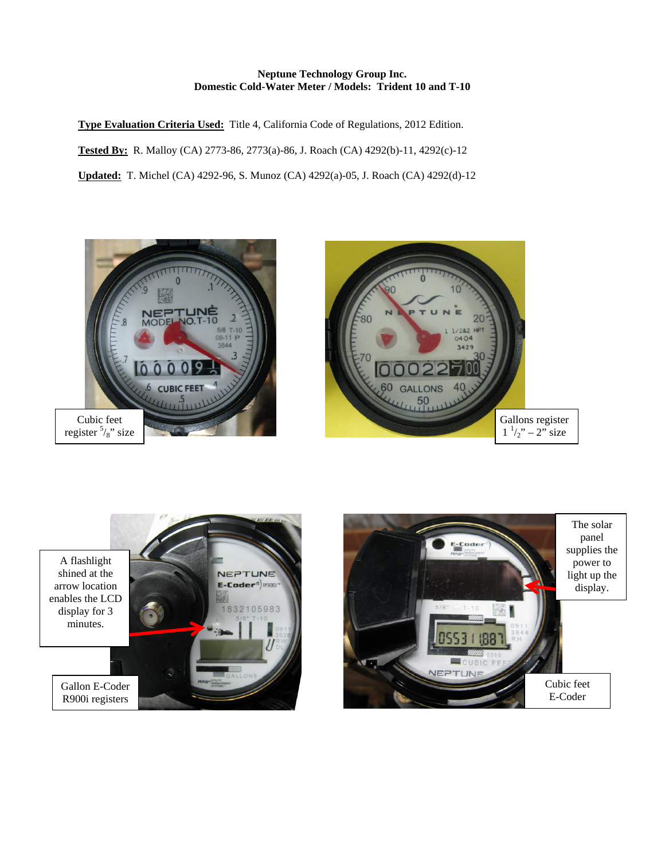#### **Neptune Technology Group Inc. Domestic Cold-Water Meter / Models: Trident 10 and T-10**

**Type Evaluation Criteria Used:** Title 4, California Code of Regulations, 2012 Edition. **Tested By:** R. Malloy (CA) 2773-86, 2773(a)-86, J. Roach (CA) 4292(b)-11, 4292(c)-12 **Updated:** T. Michel (CA) 4292-96, S. Munoz (CA) 4292(a)-05, J. Roach (CA) 4292(d)-12